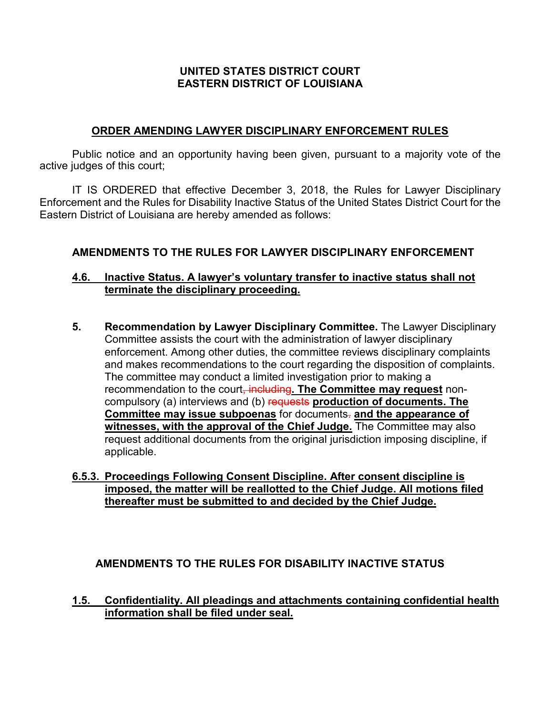### **UNITED STATES DISTRICT COURT EASTERN DISTRICT OF LOUISIANA**

#### **ORDER AMENDING LAWYER DISCIPLINARY ENFORCEMENT RULES**

Public notice and an opportunity having been given, pursuant to a majority vote of the active judges of this court;

IT IS ORDERED that effective December 3, 2018, the Rules for Lawyer Disciplinary Enforcement and the Rules for Disability Inactive Status of the United States District Court for the Eastern District of Louisiana are hereby amended as follows:

## **AMENDMENTS TO THE RULES FOR LAWYER DISCIPLINARY ENFORCEMENT**

## **4.6. Inactive Status. A lawyer's voluntary transfer to inactive status shall not terminate the disciplinary proceeding.**

**5. Recommendation by Lawyer Disciplinary Committee.** The Lawyer Disciplinary Committee assists the court with the administration of lawyer disciplinary enforcement. Among other duties, the committee reviews disciplinary complaints and makes recommendations to the court regarding the disposition of complaints. The committee may conduct a limited investigation prior to making a recommendation to the court, including**. The Committee may request** noncompulsory (a) interviews and (b) requests **production of documents. The Committee may issue subpoenas** for documents. **and the appearance of witnesses, with the approval of the Chief Judge.** The Committee may also request additional documents from the original jurisdiction imposing discipline, if applicable.

## **6.5.3. Proceedings Following Consent Discipline. After consent discipline is imposed, the matter will be reallotted to the Chief Judge. All motions filed thereafter must be submitted to and decided by the Chief Judge.**

# **AMENDMENTS TO THE RULES FOR DISABILITY INACTIVE STATUS**

**1.5. Confidentiality. All pleadings and attachments containing confidential health information shall be filed under seal.**